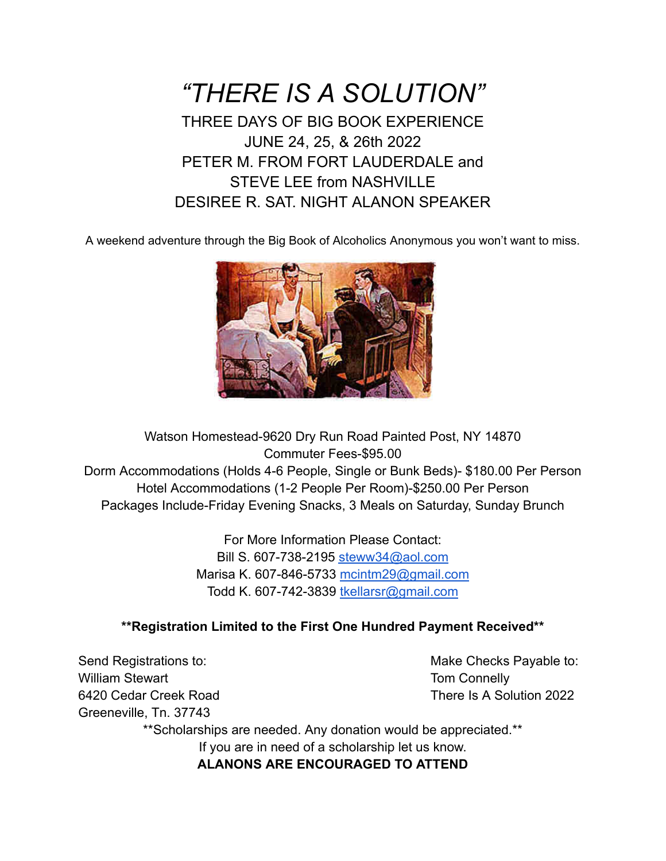*"THERE IS A SOLUTION"* THREE DAYS OF BIG BOOK EXPERIENCE JUNE 24, 25, & 26th 2022 PETER M. FROM FORT LAUDERDALE and STEVE LEE from NASHVILLE DESIREE R. SAT. NIGHT ALANON SPEAKER

A weekend adventure through the Big Book of Alcoholics Anonymous you won't want to miss.



Watson Homestead-9620 Dry Run Road Painted Post, NY 14870 Commuter Fees-\$95.00 Dorm Accommodations (Holds 4-6 People, Single or Bunk Beds)- \$180.00 Per Person Hotel Accommodations (1-2 People Per Room)-\$250.00 Per Person Packages Include-Friday Evening Snacks, 3 Meals on Saturday, Sunday Brunch

> For More Information Please Contact: Bill S. 607-738-2195 [steww34@aol.com](mailto:steww34@aol.com) Marisa K. 607-846-5733 [mcintm29@gmail.com](mailto:mcintm29@gmail.com) Todd K. 607-742-3839 [tkellarsr@gmail.com](mailto:tkellarsr@gmail.com)

## **\*\*Registration Limited to the First One Hundred Payment Received\*\***

Send Registrations to: The Checks Payable to: Make Checks Payable to: William Stewart **Tom Connelly** 6420 Cedar Creek Road There Is A Solution 2022 Greeneville, Tn. 37743

\*\*Scholarships are needed. Any donation would be appreciated.\*\* If you are in need of a scholarship let us know.

**ALANONS ARE ENCOURAGED TO ATTEND**